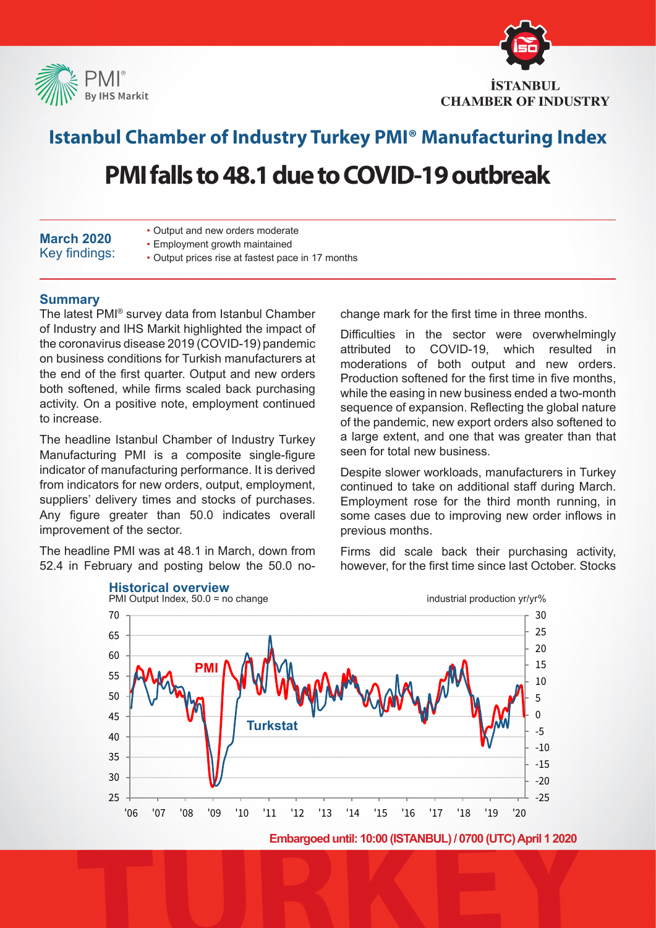



### **Istanbul Chamber of Industry Turkey PMI® Manufacturing Index**

## **PMI falls to 48.1 due to COVID-19 outbreak**

| <b>March 2020</b> |               |
|-------------------|---------------|
|                   | Key findings: |

- Output and new orders moderate
- Employment growth maintained
- Output prices rise at fastest pace in 17 months

#### **Summary**

The latest PMI® survey data from Istanbul Chamber of Industry and IHS Markit highlighted the impact of the coronavirus disease 2019 (COVID-19) pandemic on business conditions for Turkish manufacturers at the end of the first quarter. Output and new orders both softened, while firms scaled back purchasing activity. On a positive note, employment continued to increase.

The headline Istanbul Chamber of Industry Turkey Manufacturing PMI is a composite single-figure indicator of manufacturing performance. It is derived from indicators for new orders, output, employment, suppliers' delivery times and stocks of purchases. Any figure greater than 50.0 indicates overall improvement of the sector.

The headline PMI was at 48.1 in March, down from 52.4 in February and posting below the 50.0 nochange mark for the first time in three months.

Difficulties in the sector were overwhelmingly attributed to COVID-19, which resulted in moderations of both output and new orders. Production softened for the first time in five months, while the easing in new business ended a two-month sequence of expansion. Reflecting the global nature of the pandemic, new export orders also softened to a large extent, and one that was greater than that seen for total new business.

Despite slower workloads, manufacturers in Turkey continued to take on additional staff during March. Employment rose for the third month running, in some cases due to improving new order inflows in previous months.

Firms did scale back their purchasing activity, however, for the first time since last October. Stocks



**Embargoed until: 10:00 (ISTANBUL) / 0700 (UTC) April 1 2020**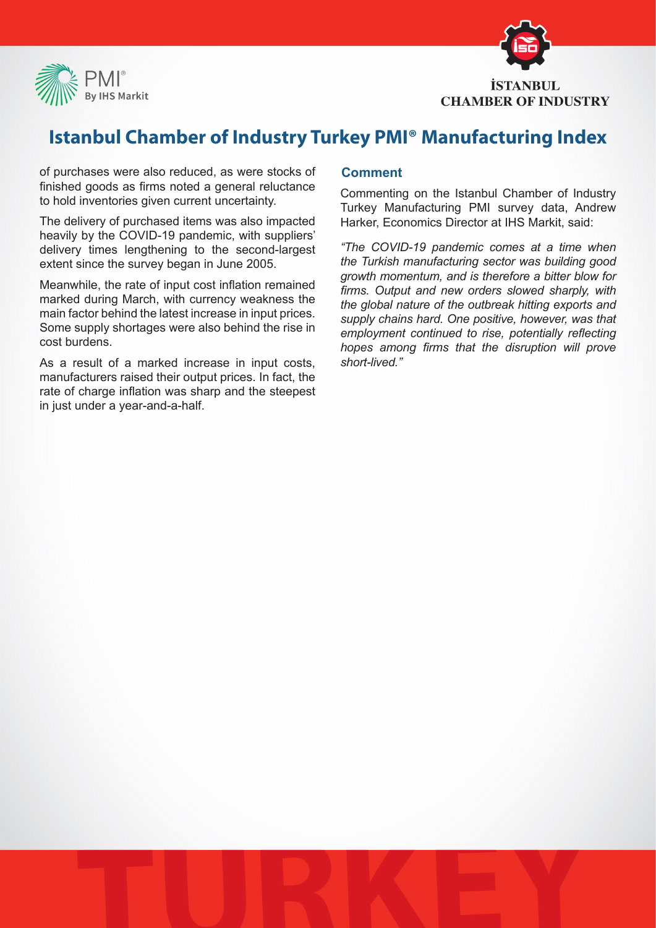



## **Istanbul Chamber of Industry Turkey PMI® Manufacturing Index**

of purchases were also reduced, as were stocks of finished goods as firms noted a general reluctance to hold inventories given current uncertainty.

The delivery of purchased items was also impacted heavily by the COVID-19 pandemic, with suppliers' delivery times lengthening to the second-largest extent since the survey began in June 2005.

Meanwhile, the rate of input cost inflation remained marked during March, with currency weakness the main factor behind the latest increase in input prices. Some supply shortages were also behind the rise in cost burdens.

As a result of a marked increase in input costs, manufacturers raised their output prices. In fact, the rate of charge inflation was sharp and the steepest in just under a year-and-a-half.

#### **Comment**

Commenting on the Istanbul Chamber of Industry Turkey Manufacturing PMI survey data, Andrew Harker, Economics Director at IHS Markit, said:

*"The COVID-19 pandemic comes at a time when the Turkish manufacturing sector was building good growth momentum, and is therefore a bitter blow for firms. Output and new orders slowed sharply, with the global nature of the outbreak hitting exports and supply chains hard. One positive, however, was that employment continued to rise, potentially reflecting hopes among firms that the disruption will prove short-lived."*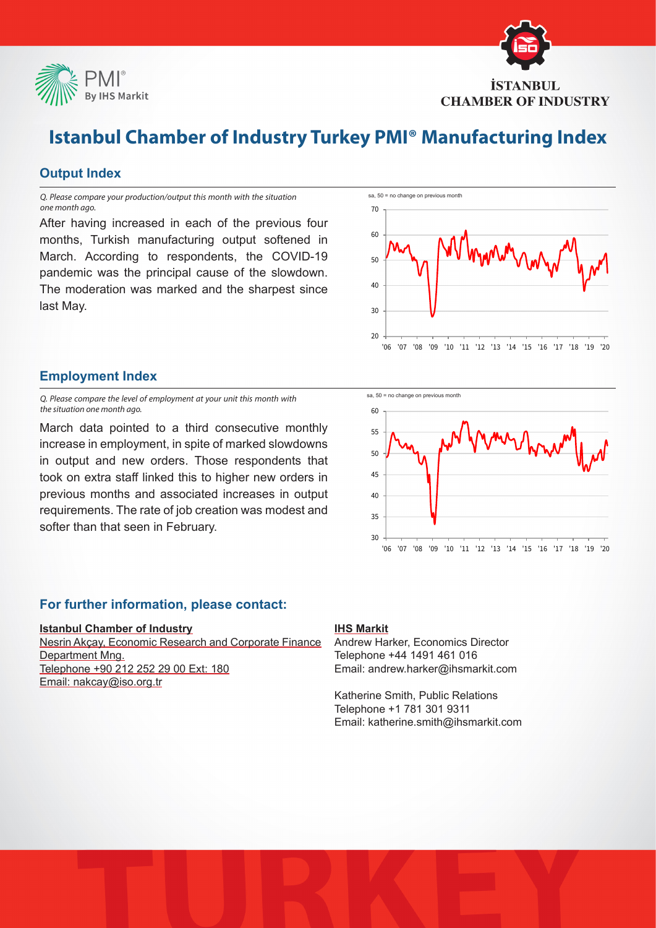

# **İSTANBUL CHAMBER OF INDUSTRY**

## **Istanbul Chamber of Industry Turkey PMI® Manufacturing Index**

#### **Output Index**

*Q. Please compare your production/output this month with the situation one month ago.*

After having increased in each of the previous four months, Turkish manufacturing output softened in March. According to respondents, the COVID-19 pandemic was the principal cause of the slowdown. The moderation was marked and the sharpest since last May.



#### **Employment Index**

*Q. Please compare the level of employment at your unit this month with the situation one month ago.*

March data pointed to a third consecutive monthly increase in employment, in spite of marked slowdowns in output and new orders. Those respondents that took on extra staff linked this to higher new orders in previous months and associated increases in output requirements. The rate of job creation was modest and softer than that seen in February.



#### **For further information, please contact:**

#### **Istanbul Chamber of Industry**

Nesrin Akçay, Economic Research and Corporate Finance Department Mng. Telephone +90 212 252 29 00 Ext: 180 Email: nakcay@iso.org.tr

#### **IHS Markit**

Andrew Harker, Economics Director Telephone +44 1491 461 016 Email: andrew.harker@ihsmarkit.com

Katherine Smith, Public Relations Telephone +1 781 301 9311 Email: katherine.smith@ihsmarkit.com